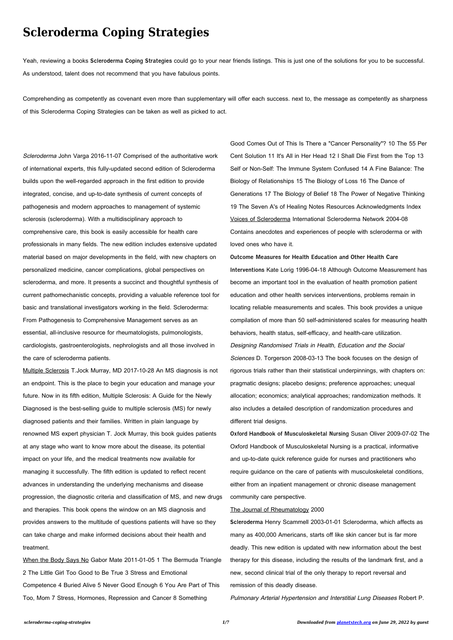## **Scleroderma Coping Strategies**

Yeah, reviewing a books **Scleroderma Coping Strategies** could go to your near friends listings. This is just one of the solutions for you to be successful. As understood, talent does not recommend that you have fabulous points.

Comprehending as competently as covenant even more than supplementary will offer each success. next to, the message as competently as sharpness of this Scleroderma Coping Strategies can be taken as well as picked to act.

Scleroderma John Varga 2016-11-07 Comprised of the authoritative work of international experts, this fully-updated second edition of Scleroderma builds upon the well-regarded approach in the first edition to provide integrated, concise, and up-to-date synthesis of current concepts of pathogenesis and modern approaches to management of systemic sclerosis (scleroderma). With a multidisciplinary approach to comprehensive care, this book is easily accessible for health care professionals in many fields. The new edition includes extensive updated material based on major developments in the field, with new chapters on personalized medicine, cancer complications, global perspectives on scleroderma, and more. It presents a succinct and thoughtful synthesis of current pathomechanistic concepts, providing a valuable reference tool for basic and translational investigators working in the field. Scleroderma: From Pathogenesis to Comprehensive Management serves as an essential, all-inclusive resource for rheumatologists, pulmonologists, cardiologists, gastroenterologists, nephrologists and all those involved in the care of scleroderma patients.

Multiple Sclerosis T.Jock Murray, MD 2017-10-28 An MS diagnosis is not an endpoint. This is the place to begin your education and manage your future. Now in its fifth edition, Multiple Sclerosis: A Guide for the Newly Diagnosed is the best-selling guide to multiple sclerosis (MS) for newly diagnosed patients and their families. Written in plain language by renowned MS expert physician T. Jock Murray, this book guides patients at any stage who want to know more about the disease, its potential impact on your life, and the medical treatments now available for managing it successfully. The fifth edition is updated to reflect recent advances in understanding the underlying mechanisms and disease progression, the diagnostic criteria and classification of MS, and new drugs and therapies. This book opens the window on an MS diagnosis and provides answers to the multitude of questions patients will have so they can take charge and make informed decisions about their health and treatment. When the Body Says No Gabor Mate 2011-01-05 1 The Bermuda Triangle 2 The Little Girl Too Good to Be True 3 Stress and Emotional Competence 4 Buried Alive 5 Never Good Enough 6 You Are Part of This Too, Mom 7 Stress, Hormones, Repression and Cancer 8 Something

Good Comes Out of This Is There a "Cancer Personality"? 10 The 55 Per Cent Solution 11 It's All in Her Head 12 I Shall Die First from the Top 13 Self or Non-Self: The Immune System Confused 14 A Fine Balance: The Biology of Relationships 15 The Biology of Loss 16 The Dance of Generations 17 The Biology of Belief 18 The Power of Negative Thinking 19 The Seven A's of Healing Notes Resources Acknowledgments Index Voices of Scleroderma International Scleroderma Network 2004-08 Contains anecdotes and experiences of people with scleroderma or with loved ones who have it.

**Outcome Measures for Health Education and Other Health Care Interventions** Kate Lorig 1996-04-18 Although Outcome Measurement has become an important tool in the evaluation of health promotion patient education and other health services interventions, problems remain in locating reliable measurements and scales. This book provides a unique compilation of more than 50 self-administered scales for measuring health behaviors, health status, self-efficacy, and health-care utilization. Designing Randomised Trials in Health, Education and the Social Sciences D. Torgerson 2008-03-13 The book focuses on the design of rigorous trials rather than their statistical underpinnings, with chapters on: pragmatic designs; placebo designs; preference approaches; unequal allocation; economics; analytical approaches; randomization methods. It also includes a detailed description of randomization procedures and different trial designs.

**Oxford Handbook of Musculoskeletal Nursing** Susan Oliver 2009-07-02 The Oxford Handbook of Musculoskeletal Nursing is a practical, informative and up-to-date quick reference guide for nurses and practitioners who require guidance on the care of patients with musculoskeletal conditions,

either from an inpatient management or chronic disease management

community care perspective.

## The Journal of Rheumatology 2000

**Scleroderma** Henry Scammell 2003-01-01 Scleroderma, which affects as many as 400,000 Americans, starts off like skin cancer but is far more deadly. This new edition is updated with new information about the best therapy for this disease, including the results of the landmark first, and a new, second clinical trial of the only therapy to report reversal and remission of this deadly disease.

Pulmonary Arterial Hypertension and Interstitial Lung Diseases Robert P.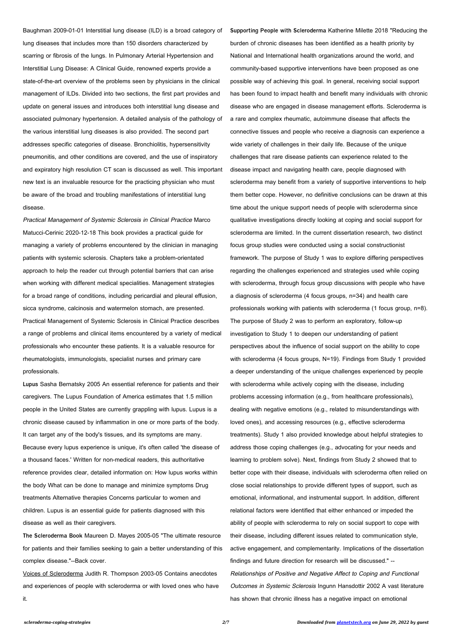Baughman 2009-01-01 Interstitial lung disease (ILD) is a broad category of lung diseases that includes more than 150 disorders characterized by scarring or fibrosis of the lungs. In Pulmonary Arterial Hypertension and Interstitial Lung Disease: A Clinical Guide, renowned experts provide a state-of-the-art overview of the problems seen by physicians in the clinical management of ILDs. Divided into two sections, the first part provides and update on general issues and introduces both interstitial lung disease and associated pulmonary hypertension. A detailed analysis of the pathology of the various interstitial lung diseases is also provided. The second part addresses specific categories of disease. Bronchiolitis, hypersensitivity pneumonitis, and other conditions are covered, and the use of inspiratory and expiratory high resolution CT scan is discussed as well. This important new text is an invaluable resource for the practicing physician who must be aware of the broad and troubling manifestations of interstitial lung disease.

Practical Management of Systemic Sclerosis in Clinical Practice Marco Matucci-Cerinic 2020-12-18 This book provides a practical guide for managing a variety of problems encountered by the clinician in managing patients with systemic sclerosis. Chapters take a problem-orientated approach to help the reader cut through potential barriers that can arise when working with different medical specialities. Management strategies for a broad range of conditions, including pericardial and pleural effusion, sicca syndrome, calcinosis and watermelon stomach, are presented. Practical Management of Systemic Sclerosis in Clinical Practice describes a range of problems and clinical items encountered by a variety of medical professionals who encounter these patients. It is a valuable resource for rheumatologists, immunologists, specialist nurses and primary care professionals.

**Lupus** Sasha Bernatsky 2005 An essential reference for patients and their caregivers. The Lupus Foundation of America estimates that 1.5 million people in the United States are currently grappling with lupus. Lupus is a chronic disease caused by inflammation in one or more parts of the body. It can target any of the body's tissues, and its symptoms are many. Because every lupus experience is unique, it's often called 'the disease of a thousand faces.' Written for non-medical readers, this authoritative reference provides clear, detailed information on: How lupus works within the body What can be done to manage and minimize symptoms Drug

treatments Alternative therapies Concerns particular to women and children. Lupus is an essential guide for patients diagnosed with this disease as well as their caregivers.

**The Scleroderma Book** Maureen D. Mayes 2005-05 "The ultimate resource for patients and their families seeking to gain a better understanding of this complex disease."--Back cover.

Voices of Scleroderma Judith R. Thompson 2003-05 Contains anecdotes and experiences of people with scleroderma or with loved ones who have it.

**Supporting People with Scleroderma** Katherine Milette 2018 "Reducing the burden of chronic diseases has been identified as a health priority by National and International health organizations around the world, and community-based supportive interventions have been proposed as one possible way of achieving this goal. In general, receiving social support has been found to impact health and benefit many individuals with chronic disease who are engaged in disease management efforts. Scleroderma is a rare and complex rheumatic, autoimmune disease that affects the connective tissues and people who receive a diagnosis can experience a wide variety of challenges in their daily life. Because of the unique challenges that rare disease patients can experience related to the disease impact and navigating health care, people diagnosed with scleroderma may benefit from a variety of supportive interventions to help them better cope. However, no definitive conclusions can be drawn at this time about the unique support needs of people with scleroderma since qualitative investigations directly looking at coping and social support for scleroderma are limited. In the current dissertation research, two distinct focus group studies were conducted using a social constructionist framework. The purpose of Study 1 was to explore differing perspectives regarding the challenges experienced and strategies used while coping with scleroderma, through focus group discussions with people who have a diagnosis of scleroderma (4 focus groups, n=34) and health care professionals working with patients with scleroderma (1 focus group, n=8). The purpose of Study 2 was to perform an exploratory, follow-up investigation to Study 1 to deepen our understanding of patient perspectives about the influence of social support on the ability to cope with scleroderma (4 focus groups, N=19). Findings from Study 1 provided a deeper understanding of the unique challenges experienced by people with scleroderma while actively coping with the disease, including problems accessing information (e.g., from healthcare professionals), dealing with negative emotions (e.g., related to misunderstandings with loved ones), and accessing resources (e.g., effective scleroderma treatments). Study 1 also provided knowledge about helpful strategies to address those coping challenges (e.g., advocating for your needs and learning to problem solve). Next, findings from Study 2 showed that to better cope with their disease, individuals with scleroderma often relied on close social relationships to provide different types of support, such as emotional, informational, and instrumental support. In addition, different relational factors were identified that either enhanced or impeded the ability of people with scleroderma to rely on social support to cope with their disease, including different issues related to communication style, active engagement, and complementarity. Implications of the dissertation findings and future direction for research will be discussed." -- Relationships of Positive and Negative Affect to Coping and Functional Outcomes in Systemic Sclerosis Ingunn Hansdottir 2002 A vast literature

has shown that chronic illness has a negative impact on emotional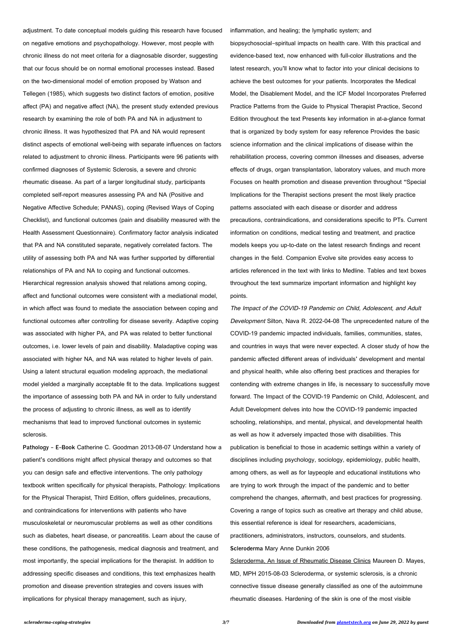adjustment. To date conceptual models guiding this research have focused on negative emotions and psychopathology. However, most people with chronic illness do not meet criteria for a diagnosable disorder, suggesting that our focus should be on normal emotional processes instead. Based on the two-dimensional model of emotion proposed by Watson and Tellegen (1985), which suggests two distinct factors of emotion, positive affect (PA) and negative affect (NA), the present study extended previous research by examining the role of both PA and NA in adjustment to chronic illness. It was hypothesized that PA and NA would represent distinct aspects of emotional well-being with separate influences on factors related to adjustment to chronic illness. Participants were 96 patients with confirmed diagnoses of Systemic Sclerosis, a severe and chronic rheumatic disease. As part of a larger longitudinal study, participants completed self-report measures assessing PA and NA (Positive and Negative Affective Schedule; PANAS), coping (Revised Ways of Coping Checklist), and functional outcomes (pain and disability measured with the Health Assessment Questionnaire). Confirmatory factor analysis indicated that PA and NA constituted separate, negatively correlated factors. The utility of assessing both PA and NA was further supported by differential relationships of PA and NA to coping and functional outcomes. Hierarchical regression analysis showed that relations among coping, affect and functional outcomes were consistent with a mediational model, in which affect was found to mediate the association between coping and functional outcomes after controlling for disease severity. Adaptive coping was associated with higher PA, and PA was related to better functional outcomes, i.e. lower levels of pain and disability. Maladaptive coping was associated with higher NA, and NA was related to higher levels of pain. Using a latent structural equation modeling approach, the mediational model yielded a marginally acceptable fit to the data. Implications suggest the importance of assessing both PA and NA in order to fully understand the process of adjusting to chronic illness, as well as to identify mechanisms that lead to improved functional outcomes in systemic sclerosis.

**Pathology - E-Book** Catherine C. Goodman 2013-08-07 Understand how a patient's conditions might affect physical therapy and outcomes so that you can design safe and effective interventions. The only pathology textbook written specifically for physical therapists, Pathology: Implications for the Physical Therapist, Third Edition, offers guidelines, precautions, and contraindications for interventions with patients who have musculoskeletal or neuromuscular problems as well as other conditions such as diabetes, heart disease, or pancreatitis. Learn about the cause of these conditions, the pathogenesis, medical diagnosis and treatment, and most importantly, the special implications for the therapist. In addition to addressing specific diseases and conditions, this text emphasizes health promotion and disease prevention strategies and covers issues with implications for physical therapy management, such as injury,

inflammation, and healing; the lymphatic system; and biopsychosocial–spiritual impacts on health care. With this practical and evidence-based text, now enhanced with full-color illustrations and the latest research, you'll know what to factor into your clinical decisions to achieve the best outcomes for your patients. Incorporates the Medical Model, the Disablement Model, and the ICF Model Incorporates Preferred Practice Patterns from the Guide to Physical Therapist Practice, Second Edition throughout the text Presents key information in at-a-glance format that is organized by body system for easy reference Provides the basic science information and the clinical implications of disease within the rehabilitation process, covering common illnesses and diseases, adverse effects of drugs, organ transplantation, laboratory values, and much more Focuses on health promotion and disease prevention throughout "Special Implications for the Therapist sections present the most likely practice patterns associated with each disease or disorder and address precautions, contraindications, and considerations specific to PTs. Current information on conditions, medical testing and treatment, and practice models keeps you up-to-date on the latest research findings and recent changes in the field. Companion Evolve site provides easy access to articles referenced in the text with links to Medline. Tables and text boxes throughout the text summarize important information and highlight key points.

The Impact of the COVID-19 Pandemic on Child, Adolescent, and Adult Development Silton, Nava R. 2022-04-08 The unprecedented nature of the COVID-19 pandemic impacted individuals, families, communities, states, and countries in ways that were never expected. A closer study of how the pandemic affected different areas of individuals' development and mental and physical health, while also offering best practices and therapies for contending with extreme changes in life, is necessary to successfully move forward. The Impact of the COVID-19 Pandemic on Child, Adolescent, and Adult Development delves into how the COVID-19 pandemic impacted schooling, relationships, and mental, physical, and developmental health as well as how it adversely impacted those with disabilities. This publication is beneficial to those in academic settings within a variety of disciplines including psychology, sociology, epidemiology, public health, among others, as well as for laypeople and educational institutions who are trying to work through the impact of the pandemic and to better comprehend the changes, aftermath, and best practices for progressing. Covering a range of topics such as creative art therapy and child abuse, this essential reference is ideal for researchers, academicians, practitioners, administrators, instructors, counselors, and students. **Scleroderma** Mary Anne Dunkin 2006 Scleroderma, An Issue of Rheumatic Disease Clinics Maureen D. Mayes, MD, MPH 2015-08-03 Scleroderma, or systemic sclerosis, is a chronic connective tissue disease generally classified as one of the autoimmune rheumatic diseases. Hardening of the skin is one of the most visible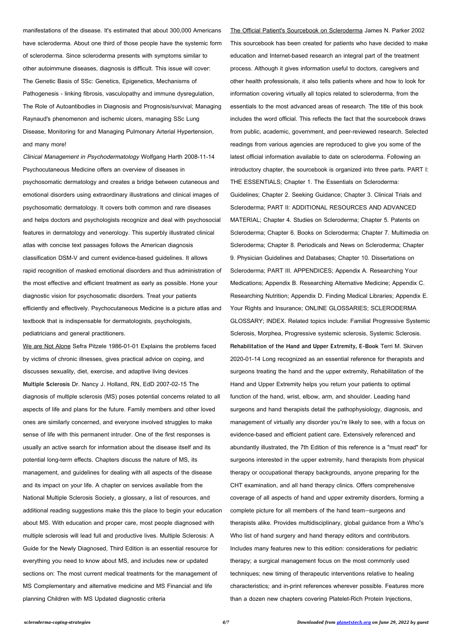manifestations of the disease. It's estimated that about 300,000 Americans have scleroderma. About one third of those people have the systemic form of scleroderma. Since scleroderma presents with symptoms similar to other autoimmune diseases, diagnosis is difficult. This issue will cover: The Genetic Basis of SSc: Genetics, Epigenetics, Mechanisms of Pathogenesis - linking fibrosis, vasculopathy and immune dysregulation, The Role of Autoantibodies in Diagnosis and Prognosis/survival; Managing Raynaud's phenomenon and ischemic ulcers, managing SSc Lung Disease, Monitoring for and Managing Pulmonary Arterial Hypertension, and many more!

Clinical Management in Psychodermatology Wolfgang Harth 2008-11-14 Psychocutaneous Medicine offers an overview of diseases in psychosomatic dermatology and creates a bridge between cutaneous and emotional disorders using extraordinary illustrations and clinical images of psychosomatic dermatology. It covers both common and rare diseases and helps doctors and psychologists recognize and deal with psychosocial features in dermatology and venerology. This superbly illustrated clinical atlas with concise text passages follows the American diagnosis classification DSM-V and current evidence-based guidelines. It allows rapid recognition of masked emotional disorders and thus administration of the most effective and efficient treatment as early as possible. Hone your diagnostic vision for psychosomatic disorders. Treat your patients efficiently and effectively. Psychocutaneous Medicine is a picture atlas and textbook that is indispensable for dermatologists, psychologists, pediatricians and general practitioners.

We are Not Alone Sefra Pitzele 1986-01-01 Explains the problems faced by victims of chronic illnesses, gives practical advice on coping, and discusses sexuality, diet, exercise, and adaptive living devices **Multiple Sclerosis** Dr. Nancy J. Holland, RN, EdD 2007-02-15 The diagnosis of multiple sclerosis (MS) poses potential concerns related to all aspects of life and plans for the future. Family members and other loved ones are similarly concerned, and everyone involved struggles to make sense of life with this permanent intruder. One of the first responses is usually an active search for information about the disease itself and its potential long-term effects. Chapters discuss the nature of MS, its management, and guidelines for dealing with all aspects of the disease and its impact on your life. A chapter on services available from the National Multiple Sclerosis Society, a glossary, a list of resources, and additional reading suggestions make this the place to begin your education about MS. With education and proper care, most people diagnosed with multiple sclerosis will lead full and productive lives. Multiple Sclerosis: A Guide for the Newly Diagnosed, Third Edition is an essential resource for everything you need to know about MS, and includes new or updated sections on: The most current medical treatments for the management of MS Complementary and alternative medicine and MS Financial and life planning Children with MS Updated diagnostic criteria

The Official Patient's Sourcebook on Scleroderma James N. Parker 2002 This sourcebook has been created for patients who have decided to make education and Internet-based research an integral part of the treatment process. Although it gives information useful to doctors, caregivers and other health professionals, it also tells patients where and how to look for information covering virtually all topics related to scleroderma, from the essentials to the most advanced areas of research. The title of this book includes the word official. This reflects the fact that the sourcebook draws from public, academic, government, and peer-reviewed research. Selected readings from various agencies are reproduced to give you some of the latest official information available to date on scleroderma. Following an introductory chapter, the sourcebook is organized into three parts. PART I: THE ESSENTIALS; Chapter 1. The Essentials on Scleroderma: Guidelines; Chapter 2. Seeking Guidance; Chapter 3. Clinical Trials and Scleroderma; PART II: ADDITIONAL RESOURCES AND ADVANCED MATERIAL; Chapter 4. Studies on Scleroderma; Chapter 5. Patents on Scleroderma; Chapter 6. Books on Scleroderma; Chapter 7. Multimedia on Scleroderma; Chapter 8. Periodicals and News on Scleroderma; Chapter 9. Physician Guidelines and Databases; Chapter 10. Dissertations on Scleroderma; PART III. APPENDICES; Appendix A. Researching Your Medications; Appendix B. Researching Alternative Medicine; Appendix C. Researching Nutrition; Appendix D. Finding Medical Libraries; Appendix E. Your Rights and Insurance; ONLINE GLOSSARIES; SCLERODERMA GLOSSARY; INDEX. Related topics include: Familial Progressive Systemic Sclerosis, Morphea, Progressive systemic sclerosis, Systemic Sclerosis. **Rehabilitation of the Hand and Upper Extremity, E-Book** Terri M. Skirven 2020-01-14 Long recognized as an essential reference for therapists and surgeons treating the hand and the upper extremity, Rehabilitation of the Hand and Upper Extremity helps you return your patients to optimal function of the hand, wrist, elbow, arm, and shoulder. Leading hand surgeons and hand therapists detail the pathophysiology, diagnosis, and management of virtually any disorder you're likely to see, with a focus on evidence-based and efficient patient care. Extensively referenced and abundantly illustrated, the 7th Edition of this reference is a "must read" for surgeons interested in the upper extremity, hand therapists from physical therapy or occupational therapy backgrounds, anyone preparing for the CHT examination, and all hand therapy clinics. Offers comprehensive coverage of all aspects of hand and upper extremity disorders, forming a complete picture for all members of the hand team—surgeons and therapists alike. Provides multidisciplinary, global guidance from a Who's Who list of hand surgery and hand therapy editors and contributors. Includes many features new to this edition: considerations for pediatric therapy; a surgical management focus on the most commonly used techniques; new timing of therapeutic interventions relative to healing characteristics; and in-print references wherever possible. Features more than a dozen new chapters covering Platelet-Rich Protein Injections,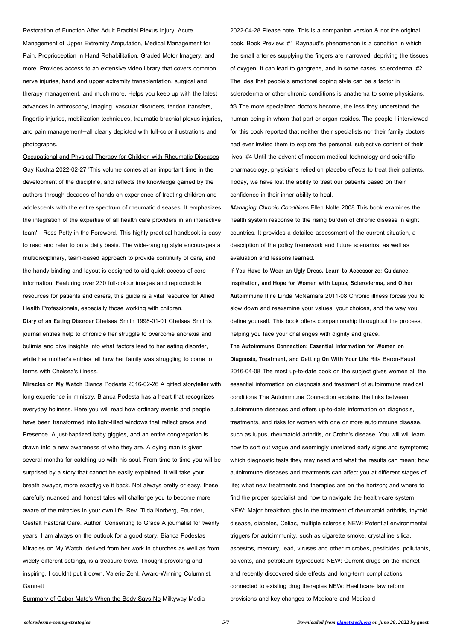Restoration of Function After Adult Brachial Plexus Injury, Acute Management of Upper Extremity Amputation, Medical Management for Pain, Proprioception in Hand Rehabilitation, Graded Motor Imagery, and more. Provides access to an extensive video library that covers common nerve injuries, hand and upper extremity transplantation, surgical and therapy management, and much more. Helps you keep up with the latest advances in arthroscopy, imaging, vascular disorders, tendon transfers, fingertip injuries, mobilization techniques, traumatic brachial plexus injuries, and pain management—all clearly depicted with full-color illustrations and photographs.

**Miracles on My Watch** Bianca Podesta 2016-02-26 A gifted storyteller with long experience in ministry, Bianca Podesta has a heart that recognizes everyday holiness. Here you will read how ordinary events and people have been transformed into light-filled windows that reflect grace and Presence. A just-baptized baby giggles, and an entire congregation is drawn into a new awareness of who they are. A dying man is given several months for catching up with his soul. From time to time you will be surprised by a story that cannot be easily explained. It will take your breath awayor, more exactlygive it back. Not always pretty or easy, these carefully nuanced and honest tales will challenge you to become more aware of the miracles in your own life. Rev. Tilda Norberg, Founder, Gestalt Pastoral Care. Author, Consenting to Grace A journalist for twenty years, I am always on the outlook for a good story. Bianca Podestas Miracles on My Watch, derived from her work in churches as well as from widely different settings, is a treasure trove. Thought provoking and inspiring. I couldnt put it down. Valerie Zehl, Award-Winning Columnist, **Gannett** 

Occupational and Physical Therapy for Children with Rheumatic Diseases Gay Kuchta 2022-02-27 'This volume comes at an important time in the development of the discipline, and reflects the knowledge gained by the authors through decades of hands-on experience of treating children and adolescents with the entire spectrum of rheumatic diseases. It emphasizes the integration of the expertise of all health care providers in an interactive team' - Ross Petty in the Foreword. This highly practical handbook is easy to read and refer to on a daily basis. The wide-ranging style encourages a multidisciplinary, team-based approach to provide continuity of care, and the handy binding and layout is designed to aid quick access of core information. Featuring over 230 full-colour images and reproducible resources for patients and carers, this guide is a vital resource for Allied Health Professionals, especially those working with children.

**Diary of an Eating Disorder** Chelsea Smith 1998-01-01 Chelsea Smith's journal entries help to chronicle her struggle to overcome anorexia and bulimia and give insights into what factors lead to her eating disorder, while her mother's entries tell how her family was struggling to come to terms with Chelsea's illness.

Summary of Gabor Mate's When the Body Says No Milkyway Media

2022-04-28 Please note: This is a companion version & not the original book. Book Preview: #1 Raynaud's phenomenon is a condition in which the small arteries supplying the fingers are narrowed, depriving the tissues of oxygen. It can lead to gangrene, and in some cases, scleroderma. #2 The idea that people's emotional coping style can be a factor in scleroderma or other chronic conditions is anathema to some physicians. #3 The more specialized doctors become, the less they understand the human being in whom that part or organ resides. The people I interviewed for this book reported that neither their specialists nor their family doctors had ever invited them to explore the personal, subjective content of their lives. #4 Until the advent of modern medical technology and scientific pharmacology, physicians relied on placebo effects to treat their patients. Today, we have lost the ability to treat our patients based on their confidence in their inner ability to heal.

Managing Chronic Conditions Ellen Nolte 2008 This book examines the health system response to the rising burden of chronic disease in eight countries. It provides a detailed assessment of the current situation, a description of the policy framework and future scenarios, as well as evaluation and lessons learned.

**If You Have to Wear an Ugly Dress, Learn to Accessorize: Guidance, Inspiration, and Hope for Women with Lupus, Scleroderma, and Other Autoimmune Illne** Linda McNamara 2011-08 Chronic illness forces you to slow down and reexamine your values, your choices, and the way you define yourself. This book offers companionship throughout the process, helping you face your challenges with dignity and grace.

**The Autoimmune Connection: Essential Information for Women on Diagnosis, Treatment, and Getting On With Your Life** Rita Baron-Faust 2016-04-08 The most up-to-date book on the subject gives women all the essential information on diagnosis and treatment of autoimmune medical conditions The Autoimmune Connection explains the links between autoimmune diseases and offers up-to-date information on diagnosis, treatments, and risks for women with one or more autoimmune disease, such as lupus, rheumatoid arthritis, or Crohn's disease. You will will learn how to sort out vague and seemingly unrelated early signs and symptoms; which diagnostic tests they may need and what the results can mean; how autoimmune diseases and treatments can affect you at different stages of life; what new treatments and therapies are on the horizon; and where to find the proper specialist and how to navigate the health-care system NEW: Major breakthroughs in the treatment of rheumatoid arthritis, thyroid disease, diabetes, Celiac, multiple sclerosis NEW: Potential environmental triggers for autoimmunity, such as cigarette smoke, crystalline silica, asbestos, mercury, lead, viruses and other microbes, pesticides, pollutants, solvents, and petroleum byproducts NEW: Current drugs on the market and recently discovered side effects and long-term complications connected to existing drug therapies NEW: Healthcare law reform provisions and key changes to Medicare and Medicaid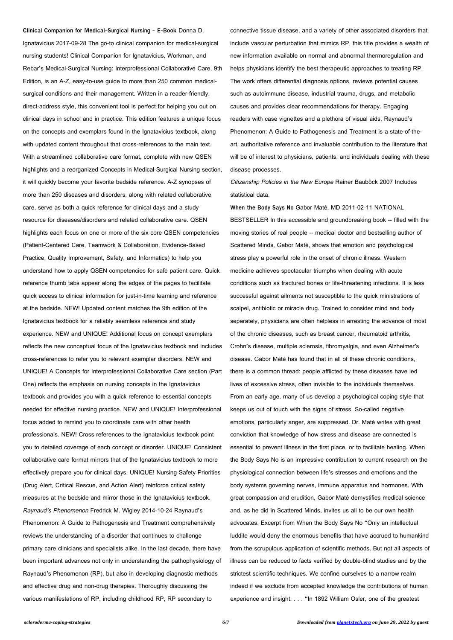**Clinical Companion for Medical-Surgical Nursing - E-Book** Donna D. Ignatavicius 2017-09-28 The go-to clinical companion for medical-surgical nursing students! Clinical Companion for Ignatavicius, Workman, and Rebar's Medical-Surgical Nursing: Interprofessional Collaborative Care, 9th Edition, is an A-Z, easy-to-use guide to more than 250 common medicalsurgical conditions and their management. Written in a reader-friendly, direct-address style, this convenient tool is perfect for helping you out on clinical days in school and in practice. This edition features a unique focus on the concepts and exemplars found in the Ignatavicius textbook, along with updated content throughout that cross-references to the main text. With a streamlined collaborative care format, complete with new QSEN highlights and a reorganized Concepts in Medical-Surgical Nursing section, it will quickly become your favorite bedside reference. A-Z synopses of more than 250 diseases and disorders, along with related collaborative care, serve as both a quick reference for clinical days and a study resource for diseases/disorders and related collaborative care. QSEN highlights each focus on one or more of the six core QSEN competencies (Patient-Centered Care, Teamwork & Collaboration, Evidence-Based Practice, Quality Improvement, Safety, and Informatics) to help you understand how to apply QSEN competencies for safe patient care. Quick reference thumb tabs appear along the edges of the pages to facilitate quick access to clinical information for just-in-time learning and reference at the bedside. NEW! Updated content matches the 9th edition of the Ignatavicius textbook for a reliably seamless reference and study experience. NEW and UNIQUE! Additional focus on concept exemplars reflects the new conceptual focus of the Ignatavicius textbook and includes cross-references to refer you to relevant exemplar disorders. NEW and UNIQUE! A Concepts for Interprofessional Collaborative Care section (Part One) reflects the emphasis on nursing concepts in the Ignatavicius textbook and provides you with a quick reference to essential concepts needed for effective nursing practice. NEW and UNIQUE! Interprofessional focus added to remind you to coordinate care with other health professionals. NEW! Cross references to the Ignatavicius textbook point you to detailed coverage of each concept or disorder. UNIQUE! Consistent collaborative care format mirrors that of the Ignatavicius textbook to more effectively prepare you for clinical days. UNIQUE! Nursing Safety Priorities (Drug Alert, Critical Rescue, and Action Alert) reinforce critical safety measures at the bedside and mirror those in the Ignatavicius textbook. Raynaud's Phenomenon Fredrick M. Wigley 2014-10-24 Raynaud's Phenomenon: A Guide to Pathogenesis and Treatment comprehensively reviews the understanding of a disorder that continues to challenge primary care clinicians and specialists alike. In the last decade, there have been important advances not only in understanding the pathophysiology of Raynaud's Phenomenon (RP), but also in developing diagnostic methods and effective drug and non-drug therapies. Thoroughly discussing the various manifestations of RP, including childhood RP, RP secondary to

connective tissue disease, and a variety of other associated disorders that include vascular perturbation that mimics RP, this title provides a wealth of new information available on normal and abnormal thermoregulation and helps physicians identify the best therapeutic approaches to treating RP. The work offers differential diagnosis options, reviews potential causes such as autoimmune disease, industrial trauma, drugs, and metabolic causes and provides clear recommendations for therapy. Engaging readers with case vignettes and a plethora of visual aids, Raynaud's Phenomenon: A Guide to Pathogenesis and Treatment is a state-of-theart, authoritative reference and invaluable contribution to the literature that will be of interest to physicians, patients, and individuals dealing with these disease processes.

Citizenship Policies in the New Europe Rainer Bauböck 2007 Includes statistical data.

**When the Body Says No** Gabor Maté, MD 2011-02-11 NATIONAL BESTSELLER In this accessible and groundbreaking book -- filled with the moving stories of real people -- medical doctor and bestselling author of Scattered Minds, Gabor Maté, shows that emotion and psychological stress play a powerful role in the onset of chronic illness. Western medicine achieves spectacular triumphs when dealing with acute conditions such as fractured bones or life-threatening infections. It is less successful against ailments not susceptible to the quick ministrations of scalpel, antibiotic or miracle drug. Trained to consider mind and body separately, physicians are often helpless in arresting the advance of most of the chronic diseases, such as breast cancer, rheumatoid arthritis, Crohn's disease, multiple sclerosis, fibromyalgia, and even Alzheimer's disease. Gabor Maté has found that in all of these chronic conditions, there is a common thread: people afflicted by these diseases have led lives of excessive stress, often invisible to the individuals themselves. From an early age, many of us develop a psychological coping style that keeps us out of touch with the signs of stress. So-called negative emotions, particularly anger, are suppressed. Dr. Maté writes with great conviction that knowledge of how stress and disease are connected is essential to prevent illness in the first place, or to facilitate healing. When the Body Says No is an impressive contribution to current research on the physiological connection between life's stresses and emotions and the body systems governing nerves, immune apparatus and hormones. With great compassion and erudition, Gabor Maté demystifies medical science and, as he did in Scattered Minds, invites us all to be our own health advocates. Excerpt from When the Body Says No "Only an intellectual luddite would deny the enormous benefits that have accrued to humankind from the scrupulous application of scientific methods. But not all aspects of illness can be reduced to facts verified by double-blind studies and by the strictest scientific techniques. We confine ourselves to a narrow realm indeed if we exclude from accepted knowledge the contributions of human experience and insight. . . . "In 1892 William Osler, one of the greatest